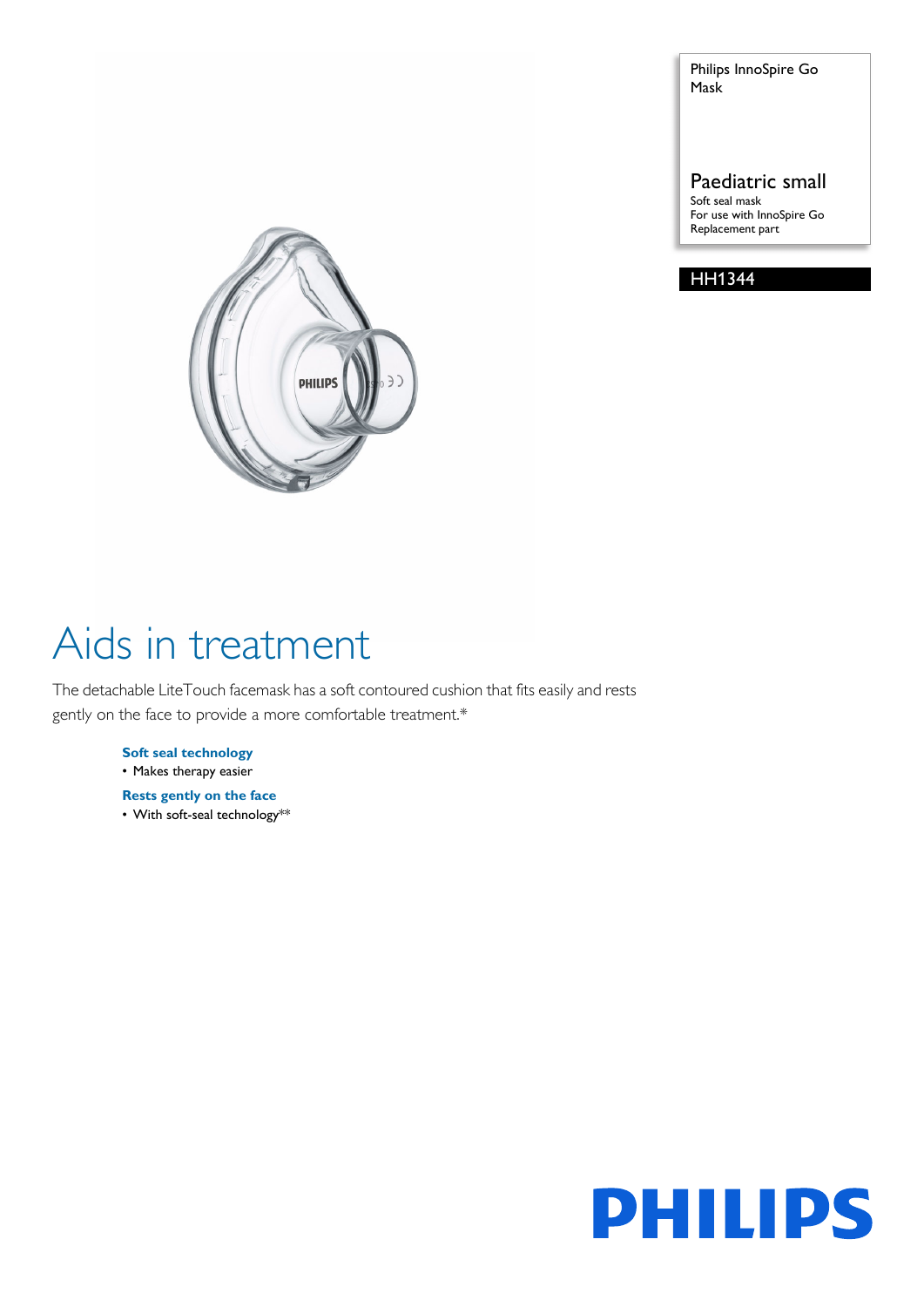Philips InnoSpire Go Mask

### Paediatric small

Soft seal mask For use with InnoSpire Go Replacement part

### HH1344



# Aids in treatment

The detachable LiteTouch facemask has a soft contoured cushion that fits easily and rests gently on the face to provide a more comfortable treatment.\*

#### **Soft seal technology**

• Makes therapy easier

**Rests gently on the face**

• With soft-seal technology\*\*